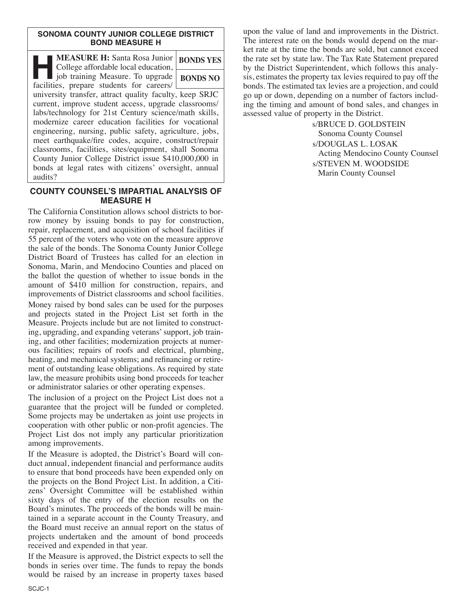### **SONOMA COUNTY JUNIOR COLLEGE DISTRICT BOND MEASURE H**

| <b>MEASURE H:</b> Santa Rosa Junior<br>College affordable local education,                                                                                                                                                                                                                                                                                                                                                                                             | <b>BONDS YES</b> |  |  |
|------------------------------------------------------------------------------------------------------------------------------------------------------------------------------------------------------------------------------------------------------------------------------------------------------------------------------------------------------------------------------------------------------------------------------------------------------------------------|------------------|--|--|
| job training Measure. To upgrade<br>facilities, prepare students for careers/                                                                                                                                                                                                                                                                                                                                                                                          | <b>BONDS NO</b>  |  |  |
| university transfer, attract quality faculty, keep SRJC<br>current, improve student access, upgrade classrooms/<br>labs/technology for 21st Century science/math skills,<br>modernize career education facilities for vocational<br>engineering, nursing, public safety, agriculture, jobs,<br>meet earthquake/fire codes, acquire, construct/repair<br>classrooms, facilities, sites/equipment, shall Sonoma<br>County Junior College District issue \$410,000,000 in |                  |  |  |
| bonds at legal rates with citizens' oversight, annual<br>audits?                                                                                                                                                                                                                                                                                                                                                                                                       |                  |  |  |

### **COUNTY COUNSEL'S IMPARTIAL ANALYSIS OF MEASURE H**

The California Constitution allows school districts to borrow money by issuing bonds to pay for construction, repair, replacement, and acquisition of school facilities if 55 percent of the voters who vote on the measure approve the sale of the bonds. The Sonoma County Junior College District Board of Trustees has called for an election in Sonoma, Marin, and Mendocino Counties and placed on the ballot the question of whether to issue bonds in the amount of \$410 million for construction, repairs, and improvements of District classrooms and school facilities. Money raised by bond sales can be used for the purposes and projects stated in the Project List set forth in the Measure. Projects include but are not limited to constructing, upgrading, and expanding veterans'support, job training, and other facilities; modernization projects at numerous facilities; repairs of roofs and electrical, plumbing, heating, and mechanical systems; and refinancing or retirement of outstanding lease obligations. As required by state law, the measure prohibits using bond proceeds for teacher or administrator salaries or other operating expenses.

The inclusion of a project on the Project List does not a guarantee that the project will be funded or completed. Some projects may be undertaken as joint use projects in cooperation with other public or non-profit agencies. The Project List dos not imply any particular prioritization among improvements.

If the Measure is adopted, the District's Board will conduct annual, independent financial and performance audits to ensure that bond proceeds have been expended only on the projects on the Bond Project List. In addition, a Citizens' Oversight Committee will be established within sixty days of the entry of the election results on the Board's minutes. The proceeds of the bonds will be maintained in a separate account in the County Treasury, and the Board must receive an annual report on the status of projects undertaken and the amount of bond proceeds received and expended in that year.

If the Measure is approved, the District expects to sell the bonds in series over time. The funds to repay the bonds would be raised by an increase in property taxes based upon the value of land and improvements in the District. The interest rate on the bonds would depend on the market rate at the time the bonds are sold, but cannot exceed the rate set by state law. The Tax Rate Statement prepared by the District Superintendent, which follows this analysis, estimates the property tax levies required to pay off the bonds. The estimated tax levies are a projection, and could go up or down, depending on a number of factors including the timing and amount of bond sales, and changes in assessed value of property in the District.

> s/BRUCE D. GOLDSTEIN Sonoma County Counsel s/DOUGLAS L. LOSAK Acting Mendocino County Counsel s/STEVEN M. WOODSIDE Marin County Counsel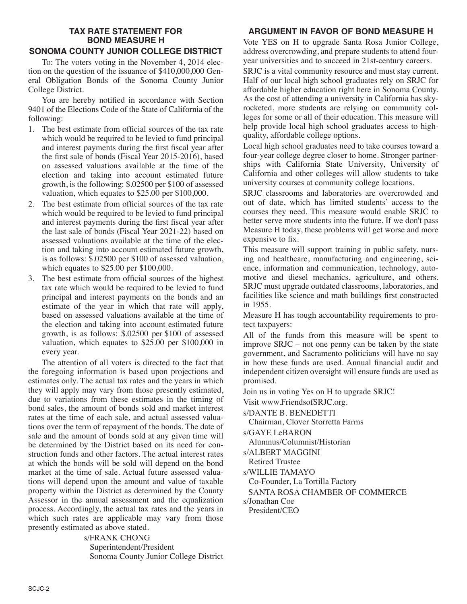# **TAX RATE STATEMENT FOR BOND MEASURE H**

# **SONOMA COUNTY JUNIOR COLLEGE DISTRICT**

To: The voters voting in the November 4, 2014 election on the question of the issuance of \$410,000,000 General Obligation Bonds of the Sonoma County Junior College District.

You are hereby notified in accordance with Section 9401 of the Elections Code of the State of California of the following:

- 1. The best estimate from official sources of the tax rate which would be required to be levied to fund principal and interest payments during the first fiscal year after the first sale of bonds (Fiscal Year 2015-2016), based on assessed valuations available at the time of the election and taking into account estimated future growth, is the following: \$.02500 per \$100 of assessed valuation, which equates to \$25.00 per \$100,000.
- 2. The best estimate from official sources of the tax rate which would be required to be levied to fund principal and interest payments during the first fiscal year after the last sale of bonds (Fiscal Year 2021-22) based on assessed valuations available at the time of the election and taking into account estimated future growth, is as follows:  $\bar{\$}.02500$  per \$100 of assessed valuation, which equates to \$25.00 per \$100,000.
- 3. The best estimate from official sources of the highest tax rate which would be required to be levied to fund principal and interest payments on the bonds and an estimate of the year in which that rate will apply, based on assessed valuations available at the time of the election and taking into account estimated future growth, is as follows: \$.02500 per \$100 of assessed valuation, which equates to \$25.00 per \$100,000 in every year.

The attention of all voters is directed to the fact that the foregoing information is based upon projections and estimates only. The actual tax rates and the years in which they will apply may vary from those presently estimated, due to variations from these estimates in the timing of bond sales, the amount of bonds sold and market interest rates at the time of each sale, and actual assessed valuations over the term of repayment of the bonds. The date of sale and the amount of bonds sold at any given time will be determined by the District based on its need for construction funds and other factors. The actual interest rates at which the bonds will be sold will depend on the bond market at the time of sale. Actual future assessed valuations will depend upon the amount and value of taxable property within the District as determined by the County Assessor in the annual assessment and the equalization process. Accordingly, the actual tax rates and the years in which such rates are applicable may vary from those presently estimated as above stated.

> s/FRANK CHONG Superintendent/President Sonoma County Junior College District

## **ARGUMENT IN FAVOR OF BOND MEASURE H**

Vote YES on H to upgrade Santa Rosa Junior College, address overcrowding, and prepare students to attend fouryear universities and to succeed in 21st-century careers.

SRJC is a vital community resource and must stay current. Half of our local high school graduates rely on SRJC for affordable higher education right here in Sonoma County. As the cost of attending a university in California has skyrocketed, more students are relying on community colleges for some or all of their education. This measure will help provide local high school graduates access to highquality, affordable college options.

Local high school graduates need to take courses toward a four-year college degree closer to home. Stronger partnerships with California State University, University of California and other colleges will allow students to take university courses at community college locations.

SRJC classrooms and laboratories are overcrowded and out of date, which has limited students' access to the courses they need. This measure would enable SRJC to better serve more students into the future. If we don't pass Measure H today, these problems will get worse and more expensive to fix.

This measure will support training in public safety, nursing and healthcare, manufacturing and engineering, science, information and communication, technology, automotive and diesel mechanics, agriculture, and others. SRJC must upgrade outdated classrooms, laboratories, and facilities like science and math buildings first constructed in 1955.

Measure H has tough accountability requirements to protect taxpayers:

All of the funds from this measure will be spent to improve SRJC – not one penny can be taken by the state government, and Sacramento politicians will have no say in how these funds are used. Annual financial audit and independent citizen oversight will ensure funds are used as promised.

Join us in voting Yes on H to upgrade SRJC!

Visit www.FriendsofSRJC.org.

s/DANTE B. BENEDETTI

Chairman, Clover Storretta Farms

s/GAYE LeBARON

Alumnus/Columnist/Historian

s/ALBERT MAGGINI

Retired Trustee

s/WILLIE TAMAYO

Co-Founder, La Tortilla Factory

SANTA ROSA CHAMBER OF COMMERCE

s/Jonathan Coe

President/CEO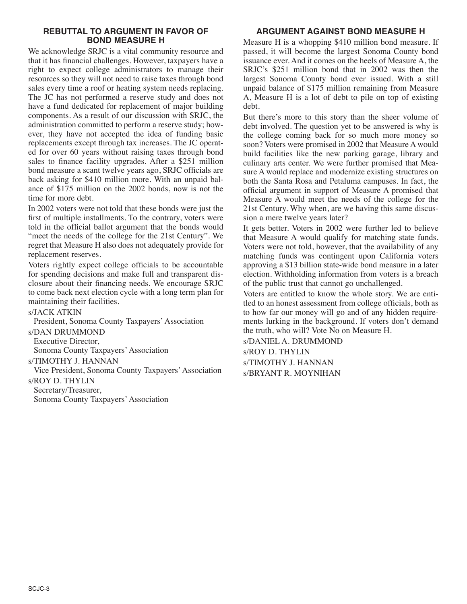### **REBUTTAL TO ARGUMENT IN FAVOR OF BOND MEASURE H**

We acknowledge SRJC is a vital community resource and that it has financial challenges. However, taxpayers have a right to expect college administrators to manage their resources so they will not need to raise taxes through bond sales every time a roof or heating system needs replacing. The JC has not performed a reserve study and does not have a fund dedicated for replacement of major building components. As a result of our discussion with SRJC, the administration committed to perform a reserve study; however, they have not accepted the idea of funding basic replacements except through tax increases. The JC operated for over 60 years without raising taxes through bond sales to finance facility upgrades. After a \$251 million bond measure a scant twelve years ago, SRJC officials are back asking for \$410 million more. With an unpaid balance of \$175 million on the 2002 bonds, now is not the time for more debt.

In 2002 voters were not told that these bonds were just the first of multiple installments. To the contrary, voters were told in the official ballot argument that the bonds would "meet the needs of the college for the 21st Century". We regret that Measure H also does not adequately provide for replacement reserves.

Voters rightly expect college officials to be accountable for spending decisions and make full and transparent disclosure about their financing needs. We encourage SRJC to come back next election cycle with a long term plan for maintaining their facilities.

### s/JACK ATKIN

President, Sonoma County Taxpayers' Association s/DAN DRUMMOND Executive Director, Sonoma County Taxpayers' Association s/TIMOTHY J. HANNAN Vice President, Sonoma County Taxpayers' Association s/ROY D. THYLIN Secretary/Treasurer, Sonoma County Taxpayers' Association

# **ARGUMENT AGAINST BOND MEASURE H**

Measure H is a whopping \$410 million bond measure. If passed, it will become the largest Sonoma County bond issuance ever. And it comes on the heels of Measure A, the SRJC's \$251 million bond that in 2002 was then the largest Sonoma County bond ever issued. With a still unpaid balance of \$175 million remaining from Measure A, Measure H is a lot of debt to pile on top of existing debt.

But there's more to this story than the sheer volume of debt involved. The question yet to be answered is why is the college coming back for so much more money so soon? Voters were promised in 2002 that Measure A would build facilities like the new parking garage, library and culinary arts center. We were further promised that Measure A would replace and modernize existing structures on both the Santa Rosa and Petaluma campuses. In fact, the official argument in support of Measure A promised that Measure A would meet the needs of the college for the 21st Century. Why when, are we having this same discussion a mere twelve years later?

It gets better. Voters in 2002 were further led to believe that Measure A would qualify for matching state funds. Voters were not told, however, that the availability of any matching funds was contingent upon California voters approving a \$13 billion state-wide bond measure in a later election. Withholding information from voters is a breach of the public trust that cannot go unchallenged.

Voters are entitled to know the whole story. We are entitled to an honest assessment from college officials, both as to how far our money will go and of any hidden requirements lurking in the background. If voters don't demand the truth, who will? Vote No on Measure H.

s/DANIEL A. DRUMMOND s/ROY D. THYLIN s/TIMOTHY J. HANNAN s/BRYANT R. MOYNIHAN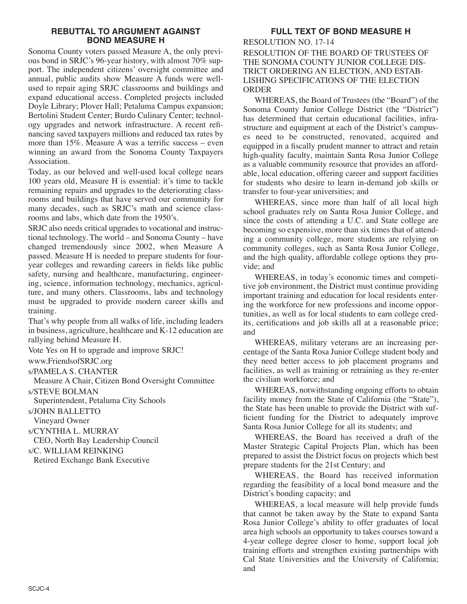### **REBUTTAL TO ARGUMENT AGAINST BOND MEASURE H**

Sonoma County voters passed Measure A, the only previous bond in SRJC's 96-year history, with almost 70% support. The independent citizens' oversight committee and annual, public audits show Measure A funds were wellused to repair aging SRJC classrooms and buildings and expand educational access. Completed projects included Doyle Library; Plover Hall; Petaluma Campus expansion; Bertolini Student Center; Burdo Culinary Center; technology upgrades and network infrastructure. A recent refinancing saved taxpayers millions and reduced tax rates by more than 15%. Measure A was a terrific success – even winning an award from the Sonoma County Taxpayers Association.

Today, as our beloved and well-used local college nears 100 years old, Measure H is essential: it's time to tackle remaining repairs and upgrades to the deteriorating classrooms and buildings that have served our community for many decades, such as SRJC's math and science classrooms and labs, which date from the 1950's.

SRJC also needs critical upgrades to vocational and instructional technology. The world – and Sonoma County – have changed tremendously since 2002, when Measure A passed. Measure H is needed to prepare students for fouryear colleges and rewarding careers in fields like public safety, nursing and healthcare, manufacturing, engineering, science, information technology, mechanics, agriculture, and many others. Classrooms, labs and technology must be upgraded to provide modern career skills and training.

That's why people from all walks of life, including leaders in business, agriculture, healthcare and K-12 education are rallying behind Measure H.

Vote Yes on H to upgrade and improve SRJC!

www.FriendsofSRJC.org

s/PAMELA S. CHANTER

Measure A Chair, Citizen Bond Oversight Committee s/STEVE BOLMAN

Superintendent, Petaluma City Schools

s/JOHN BALLETTO

Vineyard Owner

s/CYNTHIA L. MURRAY

CEO, North Bay Leadership Council

s/C. WILLIAM REINKING

Retired Exchange Bank Executive

# **FULL TEXT OF BOND MEASURE H**

RESOLUTION NO. 17-14 RESOLUTION OF THE BOARD OF TRUSTEES OF THE SONOMA COUNTY JUNIOR COLLEGE DIS-TRICT ORDERING AN ELECTION, AND ESTAB-LISHING SPECIFICATIONS OF THE ELECTION **ORDER** 

WHEREAS, the Board of Trustees (the "Board") of the Sonoma County Junior College District (the "District") has determined that certain educational facilities, infrastructure and equipment at each of the District's campuses need to be constructed, renovated, acquired and equipped in a fiscally prudent manner to attract and retain high-quality faculty, maintain Santa Rosa Junior College as a valuable community resource that provides an affordable, local education, offering career and support facilities for students who desire to learn in-demand job skills or transfer to four-year universities; and

WHEREAS, since more than half of all local high school graduates rely on Santa Rosa Junior College, and since the costs of attending a U.C. and State college are becoming so expensive, more than six times that of attending a community college, more students are relying on community colleges, such as Santa Rosa Junior College, and the high quality, affordable college options they provide; and

WHEREAS, in today's economic times and competitive job environment, the District must continue providing important training and education for local residents entering the workforce for new professions and income opportunities, as well as for local students to earn college credits, certifications and job skills all at a reasonable price; and

WHEREAS, military veterans are an increasing percentage of the Santa Rosa Junior College student body and they need better access to job placement programs and facilities, as well as training or retraining as they re-enter the civilian workforce; and

WHEREAS, notwithstanding ongoing efforts to obtain facility money from the State of California (the "State"), the State has been unable to provide the District with sufficient funding for the District to adequately improve Santa Rosa Junior College for all its students; and

WHEREAS, the Board has received a draft of the Master Strategic Capital Projects Plan, which has been prepared to assist the District focus on projects which best prepare students for the 21st Century; and

WHEREAS, the Board has received information regarding the feasibility of a local bond measure and the District's bonding capacity; and

WHEREAS, a local measure will help provide funds that cannot be taken away by the State to expand Santa Rosa Junior College's ability to offer graduates of local area high schools an opportunity to takes courses toward a 4-year college degree closer to home, support local job training efforts and strengthen existing partnerships with Cal State Universities and the University of California; and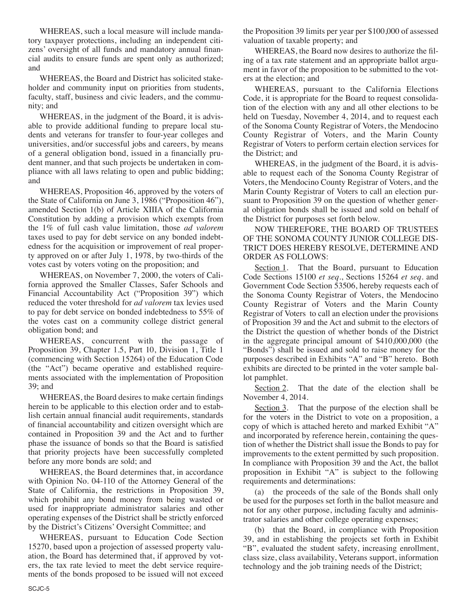WHEREAS, such a local measure will include mandatory taxpayer protections, including an independent citizens' oversight of all funds and mandatory annual financial audits to ensure funds are spent only as authorized; and

WHEREAS, the Board and District has solicited stakeholder and community input on priorities from students, faculty, staff, business and civic leaders, and the community; and

WHEREAS, in the judgment of the Board, it is advisable to provide additional funding to prepare local students and veterans for transfer to four-year colleges and universities, and/or successful jobs and careers, by means of a general obligation bond, issued in a financially prudent manner, and that such projects be undertaken in compliance with all laws relating to open and public bidding; and

WHEREAS, Proposition 46, approved by the voters of the State of California on June 3, 1986 ("Proposition 46"), amended Section 1(b) of Article XIIIA of the California Constitution by adding a provision which exempts from the 1% of full cash value limitation, those *ad valorem* taxes used to pay for debt service on any bonded indebtedness for the acquisition or improvement of real property approved on or after July 1, 1978, by two-thirds of the votes cast by voters voting on the proposition; and

WHEREAS, on November 7, 2000, the voters of California approved the Smaller Classes, Safer Schools and Financial Accountability Act ("Proposition 39") which reduced the voter threshold for *ad valorem* tax levies used to pay for debt service on bonded indebtedness to 55% of the votes cast on a community college district general obligation bond; and

WHEREAS, concurrent with the passage of Proposition 39, Chapter 1.5, Part 10, Division 1, Title 1 (commencing with Section 15264) of the Education Code (the "Act") became operative and established requirements associated with the implementation of Proposition 39; and

WHEREAS, the Board desires to make certain findings herein to be applicable to this election order and to establish certain annual financial audit requirements, standards of financial accountability and citizen oversight which are contained in Proposition 39 and the Act and to further phase the issuance of bonds so that the Board is satisfied that priority projects have been successfully completed before any more bonds are sold; and

WHEREAS, the Board determines that, in accordance with Opinion No. 04-110 of the Attorney General of the State of California, the restrictions in Proposition 39, which prohibit any bond money from being wasted or used for inappropriate administrator salaries and other operating expenses of the District shall be strictly enforced by the District's Citizens' Oversight Committee; and

WHEREAS, pursuant to Education Code Section 15270, based upon a projection of assessed property valuation, the Board has determined that, if approved by voters, the tax rate levied to meet the debt service requirements of the bonds proposed to be issued will not exceed the Proposition 39 limits per year per \$100,000 of assessed valuation of taxable property; and

WHEREAS, the Board now desires to authorize the filing of a tax rate statement and an appropriate ballot argument in favor of the proposition to be submitted to the voters at the election; and

WHEREAS, pursuant to the California Elections Code, it is appropriate for the Board to request consolidation of the election with any and all other elections to be held on Tuesday, November 4, 2014, and to request each of the Sonoma County Registrar of Voters, the Mendocino County Registrar of Voters, and the Marin County Registrar of Voters to perform certain election services for the District; and

WHEREAS, in the judgment of the Board, it is advisable to request each of the Sonoma County Registrar of Voters, the Mendocino County Registrar of Voters, and the Marin County Registrar of Voters to call an election pursuant to Proposition 39 on the question of whether general obligation bonds shall be issued and sold on behalf of the District for purposes set forth below.

NOW THEREFORE, THE BOARD OF TRUSTEES OF THE SONOMA COUNTY JUNIOR COLLEGE DIS-TRICT DOES HEREBY RESOLVE, DETERMINE AND ORDER AS FOLLOWS:

Section 1. That the Board, pursuant to Education Code Sections 15100 *et seq*., Sections 15264 *et seq*. and Government Code Section 53506, hereby requests each of the Sonoma County Registrar of Voters, the Mendocino County Registrar of Voters and the Marin County Registrar of Voters to call an election under the provisions of Proposition 39 and the Act and submit to the electors of the District the question of whether bonds of the District in the aggregate principal amount of \$410,000,000 (the "Bonds") shall be issued and sold to raise money for the purposes described in Exhibits "A" and "B" hereto. Both exhibits are directed to be printed in the voter sample ballot pamphlet.

Section 2. That the date of the election shall be November 4, 2014.

Section 3. That the purpose of the election shall be for the voters in the District to vote on a proposition, a copy of which is attached hereto and marked Exhibit "A" and incorporated by reference herein, containing the question of whether the District shall issue the Bonds to pay for improvements to the extent permitted by such proposition. In compliance with Proposition 39 and the Act, the ballot proposition in Exhibit "A" is subject to the following requirements and determinations:

(a) the proceeds of the sale of the Bonds shall only be used for the purposes set forth in the ballot measure and not for any other purpose, including faculty and administrator salaries and other college operating expenses;

(b) that the Board, in compliance with Proposition 39, and in establishing the projects set forth in Exhibit "B", evaluated the student safety, increasing enrollment, class size, class availability, Veterans support, information technology and the job training needs of the District;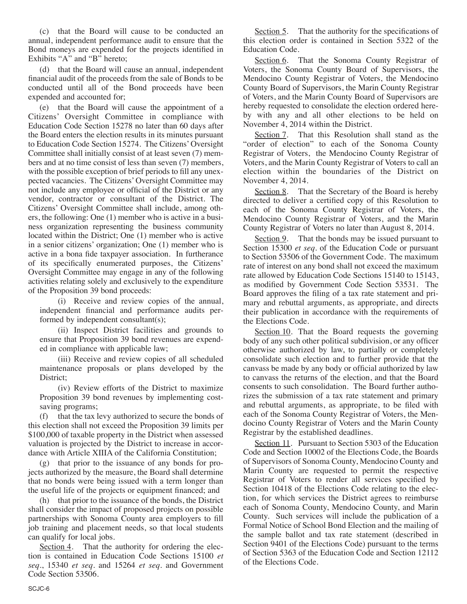(c) that the Board will cause to be conducted an annual, independent performance audit to ensure that the Bond moneys are expended for the projects identified in Exhibits " $A$ " and " $B$ <sup>"</sup> hereto;

(d) that the Board will cause an annual, independent financial audit of the proceeds from the sale of Bonds to be conducted until all of the Bond proceeds have been expended and accounted for;

(e) that the Board will cause the appointment of a Citizens' Oversight Committee in compliance with Education Code Section 15278 no later than 60 days after the Board enters the election results in its minutes pursuant to Education Code Section 15274. The Citizens' Oversight Committee shall initially consist of at least seven (7) members and at no time consist of less than seven (7) members, with the possible exception of brief periods to fill any unexpected vacancies. The Citizens' Oversight Committee may not include any employee or official of the District or any vendor, contractor or consultant of the District. The Citizens' Oversight Committee shall include, among others, the following: One (1) member who is active in a business organization representing the business community located within the District; One (1) member who is active in a senior citizens' organization; One (1) member who is active in a bona fide taxpayer association. In furtherance of its specifically enumerated purposes, the Citizens' Oversight Committee may engage in any of the following activities relating solely and exclusively to the expenditure of the Proposition 39 bond proceeds:

(i) Receive and review copies of the annual, independent financial and performance audits performed by independent consultant(s);

(ii) Inspect District facilities and grounds to ensure that Proposition 39 bond revenues are expended in compliance with applicable law;

(iii) Receive and review copies of all scheduled maintenance proposals or plans developed by the District;

(iv) Review efforts of the District to maximize Proposition 39 bond revenues by implementing costsaving programs;

(f) that the tax levy authorized to secure the bonds of this election shall not exceed the Proposition 39 limits per \$100,000 of taxable property in the District when assessed valuation is projected by the District to increase in accordance with Article XIIIA of the California Constitution;

(g) that prior to the issuance of any bonds for projects authorized by the measure, the Board shall determine that no bonds were being issued with a term longer than the useful life of the projects or equipment financed; and

(h) that prior to the issuance of the bonds, the District shall consider the impact of proposed projects on possible partnerships with Sonoma County area employers to fill job training and placement needs, so that local students can qualify for local jobs.

Section 4. That the authority for ordering the election is contained in Education Code Sections 15100 *et seq*., 15340 *et seq*. and 15264 *et seq*. and Government Code Section 53506.

Section 5. That the authority for the specifications of this election order is contained in Section 5322 of the Education Code.

Section 6. That the Sonoma County Registrar of Voters, the Sonoma County Board of Supervisors, the Mendocino County Registrar of Voters, the Mendocino County Board of Supervisors, the Marin County Registrar of Voters, and the Marin County Board of Supervisors are hereby requested to consolidate the election ordered hereby with any and all other elections to be held on November 4, 2014 within the District.

Section 7. That this Resolution shall stand as the "order of election" to each of the Sonoma County Registrar of Voters, the Mendocino County Registrar of Voters, and the Marin County Registrar of Voters to call an election within the boundaries of the District on November 4, 2014.

Section 8. That the Secretary of the Board is hereby directed to deliver a certified copy of this Resolution to each of the Sonoma County Registrar of Voters, the Mendocino County Registrar of Voters, and the Marin County Registrar of Voters no later than August 8, 2014.

Section 9. That the bonds may be issued pursuant to Section 15300 *et seq*. of the Education Code or pursuant to Section 53506 of the Government Code. The maximum rate of interest on any bond shall not exceed the maximum rate allowed by Education Code Sections 15140 to 15143, as modified by Government Code Section 53531. The Board approves the filing of a tax rate statement and primary and rebuttal arguments, as appropriate, and directs their publication in accordance with the requirements of the Elections Code.

Section 10. That the Board requests the governing body of any such other political subdivision, or any officer otherwise authorized by law, to partially or completely consolidate such election and to further provide that the canvass be made by any body or official authorized by law to canvass the returns of the election, and that the Board consents to such consolidation. The Board further authorizes the submission of a tax rate statement and primary and rebuttal arguments, as appropriate, to be filed with each of the Sonoma County Registrar of Voters, the Mendocino County Registrar of Voters and the Marin County Registrar by the established deadlines.

Section 11. Pursuant to Section 5303 of the Education Code and Section 10002 of the Elections Code, the Boards of Supervisors of Sonoma County, Mendocino County and Marin County are requested to permit the respective Registrar of Voters to render all services specified by Section 10418 of the Elections Code relating to the election, for which services the District agrees to reimburse each of Sonoma County, Mendocino County, and Marin County. Such services will include the publication of a Formal Notice of School Bond Election and the mailing of the sample ballot and tax rate statement (described in Section 9401 of the Elections Code) pursuant to the terms of Section 5363 of the Education Code and Section 12112 of the Elections Code.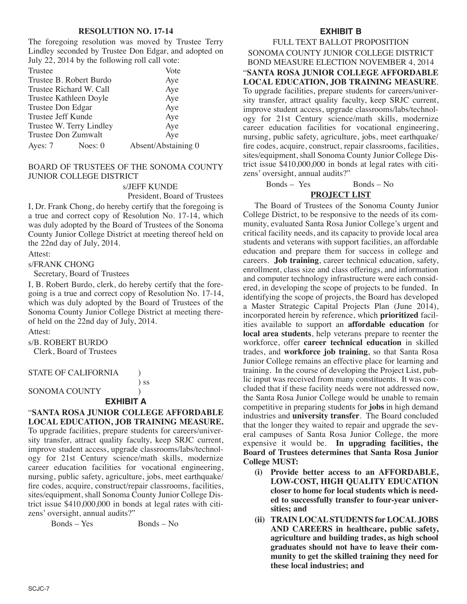#### **RESOLUTION NO. 17-14**

The foregoing resolution was moved by Trustee Terry Lindley seconded by Trustee Don Edgar, and adopted on July 22, 2014 by the following roll call vote:

| Trustee            |                          | Vote                |
|--------------------|--------------------------|---------------------|
|                    | Trustee B. Robert Burdo  | Aye                 |
|                    | Trustee Richard W. Call  | Aye                 |
|                    | Trustee Kathleen Doyle   | Aye                 |
| Trustee Don Edgar  |                          | Aye                 |
| Trustee Jeff Kunde |                          | Aye                 |
|                    | Trustee W. Terry Lindley | Aye                 |
|                    | Trustee Don Zumwalt      | Aye                 |
| Ayes: 7            | Noes: $0$                | Absent/Abstaining 0 |

### BOARD OF TRUSTEES OF THE SONOMA COUNTY JUNIOR COLLEGE DISTRICT

s/JEFF KUNDE

President, Board of Trustees

I, Dr. Frank Chong, do hereby certify that the foregoing is a true and correct copy of Resolution No. 17-14, which was duly adopted by the Board of Trustees of the Sonoma County Junior College District at meeting thereof held on the 22nd day of July, 2014.

Attest:

s/FRANK CHONG

Secretary, Board of Trustees

I, B. Robert Burdo, clerk, do hereby certify that the foregoing is a true and correct copy of Resolution No. 17-14, which was duly adopted by the Board of Trustees of the Sonoma County Junior College District at meeting thereof held on the 22nd day of July, 2014.

Attest:

s/B. ROBERT BURDO Clerk, Board of Trustees

STATE OF CALIFORNIA (1)

SONOMA COUNTY (1)

#### **EXHIBIT A**

) ss

"**SANTA ROSA JUNIOR COLLEGE AFFORDABLE LOCAL EDUCATION, JOB TRAINING MEASURE.** To upgrade facilities, prepare students for careers/university transfer, attract quality faculty, keep SRJC current, improve student access, upgrade classrooms/labs/technology for 21st Century science/math skills, modernize career education facilities for vocational engineering, nursing, public safety, agriculture, jobs, meet earthquake/ fire codes, acquire, construct/repair classrooms, facilities, sites/equipment, shall Sonoma County Junior College District issue \$410,000,000 in bonds at legal rates with citizens' oversight, annual audits?"

Bonds – Yes Bonds – No

### **EXHIBIT B**

FULL TEXT BALLOT PROPOSITION SONOMA COUNTY JUNIOR COLLEGE DISTRICT BOND MEASURE ELECTION NOVEMBER 4, 2014 "**SANTA ROSA JUNIOR COLLEGE AFFORDABLE LOCAL EDUCATION, JOB TRAINING MEASURE**. To upgrade facilities, prepare students for careers/university transfer, attract quality faculty, keep SRJC current, improve student access, upgrade classrooms/labs/technology for 21st Century science/math skills, modernize career education facilities for vocational engineering, nursing, public safety, agriculture, jobs, meet earthquake/ fire codes, acquire, construct, repair classrooms, facilities, sites/equipment, shall Sonoma County Junior College District issue \$410,000,000 in bonds at legal rates with citizens' oversight, annual audits?"

Bonds – Yes Bonds – No

### **PROJECT LIST**

The Board of Trustees of the Sonoma County Junior College District, to be responsive to the needs of its community, evaluated Santa Rosa Junior College's urgent and critical facility needs, and its capacity to provide local area students and veterans with support facilities, an affordable education and prepare them for success in college and careers. **Job training**, career technical education, safety, enrollment, class size and class offerings, and information and computer technology infrastructure were each considered, in developing the scope of projects to be funded. In identifying the scope of projects, the Board has developed a Master Strategic Capital Projects Plan (June 2014), incorporated herein by reference, which **prioritized** facilities available to support an **affordable education** for **local area students**, help veterans prepare to reenter the workforce, offer **career technical education** in skilled trades, and **workforce job training**, so that Santa Rosa Junior College remains an effective place for learning and training. In the course of developing the Project List, public input was received from many constituents. It was concluded that if these facility needs were not addressed now, the Santa Rosa Junior College would be unable to remain competitive in preparing students for **jobs** in high demand industries and **university transfer**. The Board concluded that the longer they waited to repair and upgrade the several campuses of Santa Rosa Junior College, the more expensive it would be. **In upgrading facilities, the Board of Trustees determines that Santa Rosa Junior College MUST:**

- **(i) Provide better access to an AFFORDABLE, LOW-COST, HIGH QUALITY EDUCATION closer to home for local students which is needed to successfully transfer to four-year universities; and**
- **(ii) TRAIN LOCALSTUDENTS for LOCALJOBS AND CAREERS in healthcare, public safety, agriculture and building trades, as high school graduates should not have to leave their community to get the skilled training they need for these local industries; and**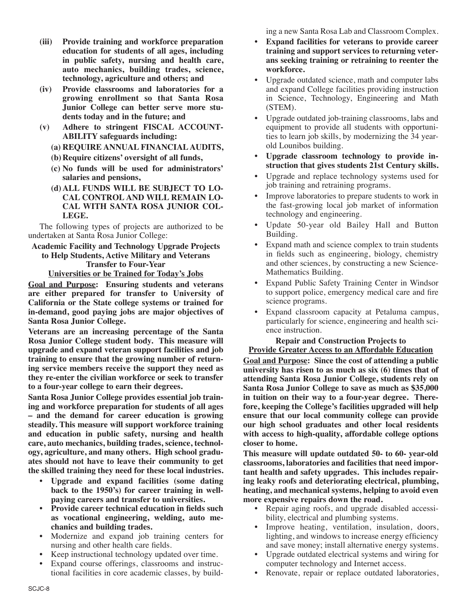- **(iii) Provide training and workforce preparation education for students of all ages, including in public safety, nursing and health care, auto mechanics, building trades, science, technology, agriculture and others; and**
- **(iv) Provide classrooms and laboratories for a growing enrollment so that Santa Rosa Junior College can better serve more students today and in the future; and**
- **(v) Adhere to stringent FISCAL ACCOUNT-ABILITY safeguards including:**
	- **(a) REQUIRE ANNUAL FINANCIAL AUDITS,**
	- **(b)Require citizens' oversight of all funds,**
	- **(c) No funds will be used for administrators' salaries and pensions,**
	- **(d)ALL FUNDS WILL BE SUBJECT TO LO-CAL CONTROL AND WILL REMAIN LO-CAL WITH SANTA ROSA JUNIOR COL-LEGE.**

The following types of projects are authorized to be undertaken at Santa Rosa Junior College:

### **Academic Facility and Technology Upgrade Projects to Help Students, Active Military and Veterans Transfer to Four-Year Universities or be Trained for Today's Jobs**

**Goal and Purpose: Ensuring students and veterans are either prepared for transfer to University of California or the State college systems or trained for in-demand, good paying jobs are major objectives of Santa Rosa Junior College.**

**Veterans are an increasing percentage of the Santa Rosa Junior College student body. This measure will upgrade and expand veteran support facilities and job training to ensure that the growing number of returning service members receive the support they need as they re-enter the civilian workforce or seek to transfer to a four-year college to earn their degrees.**

**Santa Rosa Junior College provides essential job training and workforce preparation for students of all ages – and the demand for career education is growing steadily. This measure will support workforce training and education in public safety, nursing and health care, auto mechanics, building trades, science, technology, agriculture, and many others. High school graduates should not have to leave their community to get the skilled training they need for these local industries.**

- **• Upgrade and expand facilities (some dating back to the 1950's) for career training in wellpaying careers and transfer to universities.**
- **• Provide career technical education in fields such as vocational engineering, welding, auto mechanics and building trades.**
- Modernize and expand job training centers for nursing and other health care fields.
- Keep instructional technology updated over time.
- Expand course offerings, classrooms and instructional facilities in core academic classes, by build-

ing a new Santa Rosa Lab and Classroom Complex.

- **• Expand facilities for veterans to provide career training and support services to returning veterans seeking training or retraining to reenter the workforce.**
- Upgrade outdated science, math and computer labs and expand College facilities providing instruction in Science, Technology, Engineering and Math (STEM).
- Upgrade outdated job-training classrooms, labs and equipment to provide all students with opportunities to learn job skills, by modernizing the 34 yearold Lounibos building.
- **• Upgrade classroom technology to provide instruction that gives students 21st Century skills.**
- Upgrade and replace technology systems used for job training and retraining programs.
- Improve laboratories to prepare students to work in the fast-growing local job market of information technology and engineering.
- Update 50-year old Bailey Hall and Button Building.
- Expand math and science complex to train students in fields such as engineering, biology, chemistry and other sciences, by constructing a new Science-Mathematics Building.
- Expand Public Safety Training Center in Windsor to support police, emergency medical care and fire science programs.
- Expand classroom capacity at Petaluma campus, particularly for science, engineering and health science instruction.

**Repair and Construction Projects to Provide Greater Access to an Affordable Education**

**Goal and Purpose: Since the cost of attending a public university has risen to as much as six (6) times that of attending Santa Rosa Junior College, students rely on Santa Rosa Junior College to save as much as \$35,000 in tuition on their way to a four-year degree. Therefore, keeping the College's facilities upgraded will help ensure that our local community college can provide our high school graduates and other local residents with access to high-quality, affordable college options closer to home.**

**This measure will update outdated 50- to 60- year-old classrooms, laboratories and facilities that need important health and safety upgrades. This includes repairing leaky roofs and deteriorating electrical, plumbing, heating, and mechanical systems, helping to avoid even more expensive repairs down the road.**

- Repair aging roofs, and upgrade disabled accessibility, electrical and plumbing systems.
- Improve heating, ventilation, insulation, doors, lighting, and windows to increase energy efficiency and save money; install alternative energy systems.
- Upgrade outdated electrical systems and wiring for computer technology and Internet access.
- Renovate, repair or replace outdated laboratories,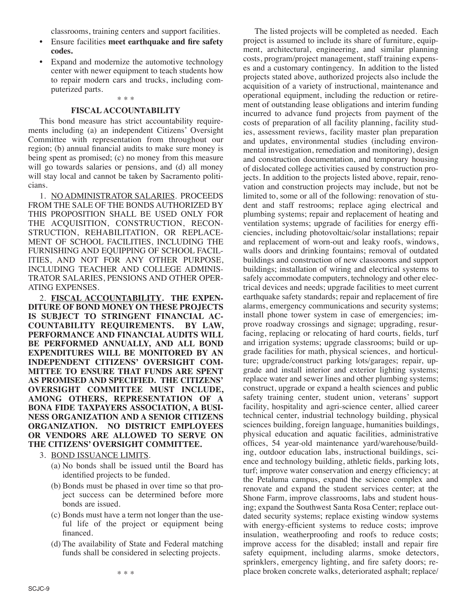classrooms, training centers and support facilities.

- Ensure facilities **meet earthquake and fire safety codes.**
- Expand and modernize the automotive technology center with newer equipment to teach students how to repair modern cars and trucks, including computerized parts.

### \* \* \* **FISCAL ACCOUNTABILITY**

This bond measure has strict accountability requirements including (a) an independent Citizens' Oversight Committee with representation from throughout our region; (b) annual financial audits to make sure money is being spent as promised; (c) no money from this measure will go towards salaries or pensions, and (d) all money will stay local and cannot be taken by Sacramento politicians.

1. NO ADMINISTRATOR SALARIES. PROCEEDS FROM THE SALE OF THE BONDS AUTHORIZED BY THIS PROPOSITION SHALL BE USED ONLY FOR THE ACQUISITION, CONSTRUCTION, RECON-STRUCTION, REHABILITATION, OR REPLACE-MENT OF SCHOOL FACILITIES, INCLUDING THE FURNISHING AND EQUIPPING OF SCHOOL FACIL-ITIES, AND NOT FOR ANY OTHER PURPOSE, INCLUDING TEACHER AND COLLEGE ADMINIS-TRATOR SALARIES, PENSIONS AND OTHER OPER-ATING EXPENSES.

2. **FISCAL ACCOUNTABILITY. THE EXPEN-DITURE OF BOND MONEY ON THESE PROJECTS IS SUBJECT TO STRINGENT FINANCIAL AC-COUNTABILITY REQUIREMENTS. BY LAW, PERFORMANCE AND FINANCIAL AUDITS WILL BE PERFORMED ANNUALLY, AND ALL BOND EXPENDITURES WILL BE MONITORED BY AN INDEPENDENT CITIZENS' OVERSIGHT COM-MITTEE TO ENSURE THAT FUNDS ARE SPENT AS PROMISED AND SPECIFIED. THE CITIZENS' OVERSIGHT COMMITTEE MUST INCLUDE, AMONG OTHERS, REPRESENTATION OF A BONA FIDE TAXPAYERS ASSOCIATION, A BUSI-NESS ORGANIZATION AND A SENIOR CITIZENS ORGANIZATION. NO DISTRICT EMPLOYEES OR VENDORS ARE ALLOWED TO SERVE ON THE CITIZENS' OVERSIGHT COMMITTEE.**

- 3. BOND ISSUANCE LIMITS.
	- (a) No bonds shall be issued until the Board has identified projects to be funded.
	- (b) Bonds must be phased in over time so that project success can be determined before more bonds are issued.
	- (c) Bonds must have a term not longer than the useful life of the project or equipment being financed.
	- (d) The availability of State and Federal matching funds shall be considered in selecting projects.

The listed projects will be completed as needed. Each project is assumed to include its share of furniture, equipment, architectural, engineering, and similar planning costs, program/project management, staff training expenses and a customary contingency. In addition to the listed projects stated above, authorized projects also include the acquisition of a variety of instructional, maintenance and operational equipment, including the reduction or retirement of outstanding lease obligations and interim funding incurred to advance fund projects from payment of the costs of preparation of all facility planning, facility studies, assessment reviews, facility master plan preparation and updates, environmental studies (including environmental investigation, remediation and monitoring), design and construction documentation, and temporary housing of dislocated college activities caused by construction projects. In addition to the projects listed above, repair, renovation and construction projects may include, but not be limited to, some or all of the following: renovation of student and staff restrooms; replace aging electrical and plumbing systems; repair and replacement of heating and ventilation systems; upgrade of facilities for energy efficiencies, including photovoltaic/solar installations; repair and replacement of worn-out and leaky roofs, windows, walls doors and drinking fountains; removal of outdated buildings and construction of new classrooms and support buildings; installation of wiring and electrical systems to safely accommodate computers, technology and other electrical devices and needs; upgrade facilities to meet current earthquake safety standards; repair and replacement of fire alarms, emergency communications and security systems; install phone tower system in case of emergencies; improve roadway crossings and signage; upgrading, resurfacing, replacing or relocating of hard courts, fields, turf and irrigation systems; upgrade classrooms; build or upgrade facilities for math, physical sciences, and horticulture; upgrade/construct parking lots/garages; repair, upgrade and install interior and exterior lighting systems; replace water and sewer lines and other plumbing systems; construct, upgrade or expand a health sciences and public safety training center, student union, veterans' support facility, hospitality and agri-science center, allied career technical center, industrial technology building, physical sciences building, foreign language, humanities buildings, physical education and aquatic facilities, administrative offices, 54 year-old maintenance yard/warehouse/building, outdoor education labs, instructional buildings, science and technology building, athletic fields, parking lots, turf; improve water conservation and energy efficiency; at the Petaluma campus, expand the science complex and renovate and expand the student services center; at the Shone Farm, improve classrooms, labs and student housing; expand the Southwest Santa Rosa Center; replace outdated security systems; replace existing window systems with energy-efficient systems to reduce costs; improve insulation, weatherproofing and roofs to reduce costs; improve access for the disabled; install and repair fire safety equipment, including alarms, smoke detectors, sprinklers, emergency lighting, and fire safety doors; replace broken concrete walks, deteriorated asphalt; replace/